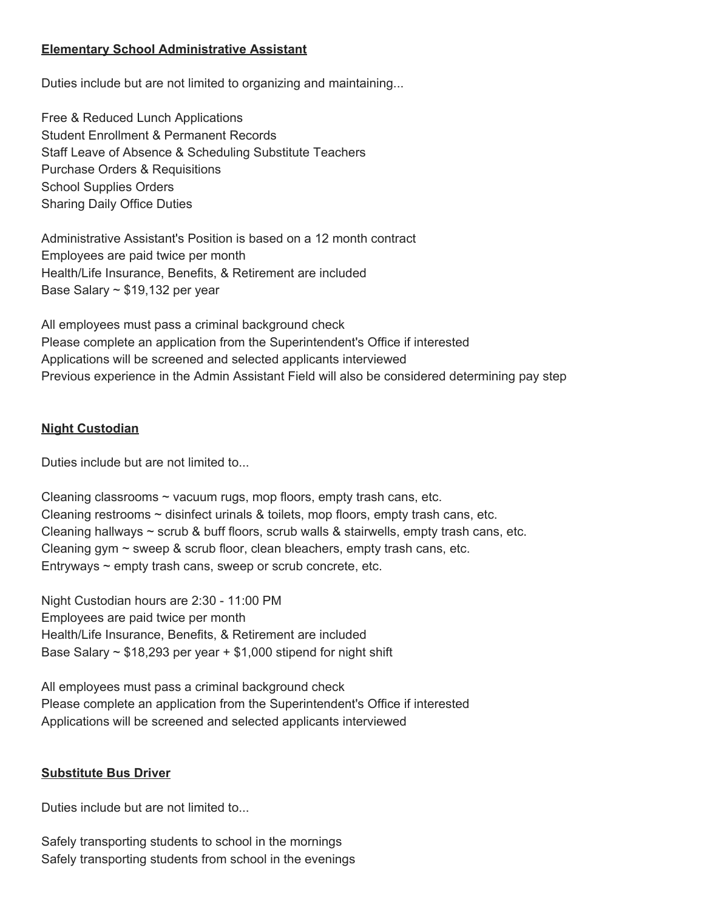## **Elementary School Administrative Assistant**

Duties include but are not limited to organizing and maintaining...

Free & Reduced Lunch Applications Student Enrollment & Permanent Records Staff Leave of Absence & Scheduling Substitute Teachers Purchase Orders & Requisitions School Supplies Orders Sharing Daily Office Duties

Administrative Assistant's Position is based on a 12 month contract Employees are paid twice per month Health/Life Insurance, Benefits, & Retirement are included Base Salary  $\sim$  \$19,132 per year

All employees must pass a criminal background check Please complete an application from the Superintendent's Office if interested Applications will be screened and selected applicants interviewed Previous experience in the Admin Assistant Field will also be considered determining pay step

## **Night Custodian**

Duties include but are not limited to...

Cleaning classrooms  $\sim$  vacuum rugs, mop floors, empty trash cans, etc. Cleaning restrooms  $\sim$  disinfect urinals & toilets, mop floors, empty trash cans, etc. Cleaning hallways  $\sim$  scrub & buff floors, scrub walls & stairwells, empty trash cans, etc. Cleaning gym  $\sim$  sweep & scrub floor, clean bleachers, empty trash cans, etc. Entryways  $\sim$  empty trash cans, sweep or scrub concrete, etc.

Night Custodian hours are 2:30 - 11:00 PM Employees are paid twice per month Health/Life Insurance, Benefits, & Retirement are included Base Salary  $\sim$  \$18,293 per year + \$1,000 stipend for night shift

All employees must pass a criminal background check Please complete an application from the Superintendent's Office if interested Applications will be screened and selected applicants interviewed

## **Substitute Bus Driver**

Duties include but are not limited to...

Safely transporting students to school in the mornings Safely transporting students from school in the evenings